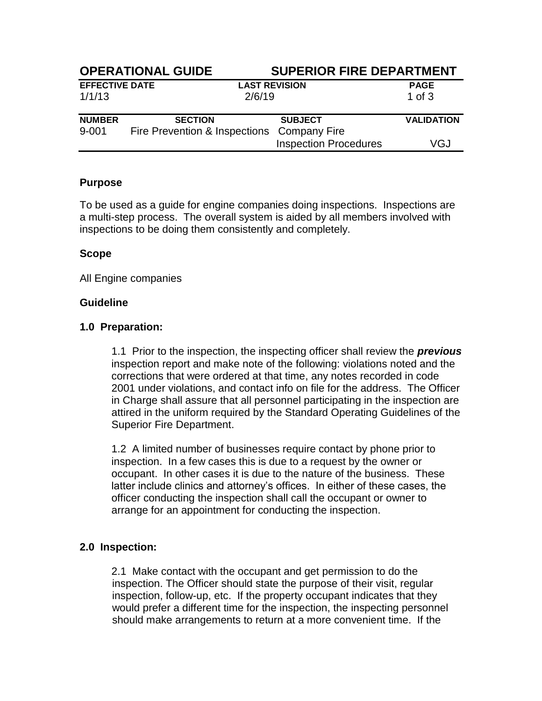| <b>OPERATIONAL GUIDE</b> |                                            |                              | <b>SUPERIOR FIRE DEPARTMENT</b> |  |
|--------------------------|--------------------------------------------|------------------------------|---------------------------------|--|
| <b>EFFECTIVE DATE</b>    |                                            | <b>LAST REVISION</b>         | <b>PAGE</b>                     |  |
| 1/1/13                   |                                            | 2/6/19                       | $1$ of $3$                      |  |
| <b>NUMBER</b>            | <b>SECTION</b>                             | <b>SUBJECT</b>               | <b>VALIDATION</b>               |  |
| $9 - 001$                | Fire Prevention & Inspections Company Fire |                              |                                 |  |
|                          |                                            | <b>Inspection Procedures</b> | VGJ                             |  |

## **Purpose**

To be used as a guide for engine companies doing inspections. Inspections are a multi-step process. The overall system is aided by all members involved with inspections to be doing them consistently and completely.

# **Scope**

All Engine companies

#### **Guideline**

#### **1.0 Preparation:**

1.1 Prior to the inspection, the inspecting officer shall review the *previous* inspection report and make note of the following: violations noted and the corrections that were ordered at that time, any notes recorded in code 2001 under violations, and contact info on file for the address. The Officer in Charge shall assure that all personnel participating in the inspection are attired in the uniform required by the Standard Operating Guidelines of the Superior Fire Department.

1.2 A limited number of businesses require contact by phone prior to inspection. In a few cases this is due to a request by the owner or occupant. In other cases it is due to the nature of the business. These latter include clinics and attorney's offices. In either of these cases, the officer conducting the inspection shall call the occupant or owner to arrange for an appointment for conducting the inspection.

## **2.0 Inspection:**

2.1 Make contact with the occupant and get permission to do the inspection. The Officer should state the purpose of their visit, regular inspection, follow-up, etc. If the property occupant indicates that they would prefer a different time for the inspection, the inspecting personnel should make arrangements to return at a more convenient time. If the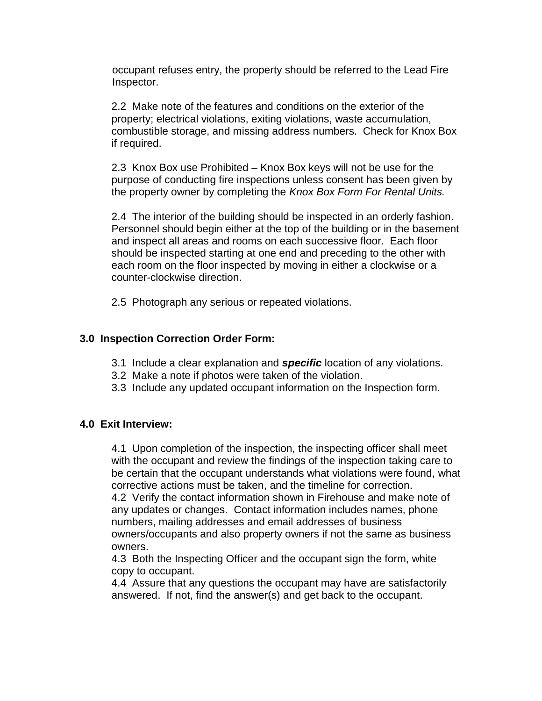occupant refuses entry, the property should be referred to the Lead Fire Inspector.

2.2 Make note of the features and conditions on the exterior of the property; electrical violations, exiting violations, waste accumulation, combustible storage, and missing address numbers. Check for Knox Box if required.

2.3 Knox Box use Prohibited – Knox Box keys will not be use for the purpose of conducting fire inspections unless consent has been given by the property owner by completing the *Knox Box Form For Rental Units.* 

2.4The interior of the building should be inspected in an orderly fashion. Personnel should begin either at the top of the building or in the basement and inspect all areas and rooms on each successive floor. Each floor should be inspected starting at one end and preceding to the other with each room on the floor inspected by moving in either a clockwise or a counter-clockwise direction.

2.5 Photograph any serious or repeated violations.

## **3.0 Inspection Correction Order Form:**

- 3.1 Include a clear explanation and *specific* location of any violations.
- 3.2 Make a note if photos were taken of the violation.
- 3.3 Include any updated occupant information on the Inspection form.

#### **4.0 Exit Interview:**

4.1 Upon completion of the inspection, the inspecting officer shall meet with the occupant and review the findings of the inspection taking care to be certain that the occupant understands what violations were found, what corrective actions must be taken, and the timeline for correction.

4.2 Verify the contact information shown in Firehouse and make note of any updates or changes. Contact information includes names, phone numbers, mailing addresses and email addresses of business owners/occupants and also property owners if not the same as business owners.

4.3 Both the Inspecting Officer and the occupant sign the form, white copy to occupant.

4.4 Assure that any questions the occupant may have are satisfactorily answered. If not, find the answer(s) and get back to the occupant.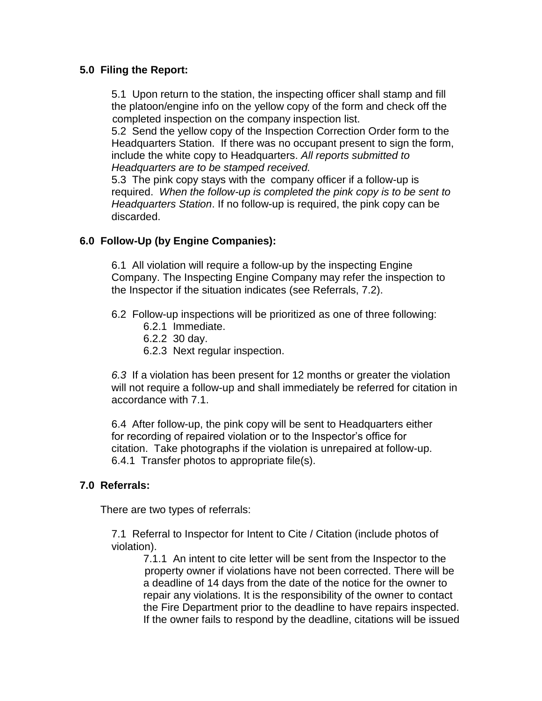# **5.0 Filing the Report:**

5.1 Upon return to the station, the inspecting officer shall stamp and fill the platoon/engine info on the yellow copy of the form and check off the completed inspection on the company inspection list.

5.2 Send the yellow copy of the Inspection Correction Order form to the Headquarters Station. If there was no occupant present to sign the form, include the white copy to Headquarters. *All reports submitted to Headquarters are to be stamped received.*

5.3 The pink copy stays with the company officer if a follow-up is required. *When the follow-up is completed the pink copy is to be sent to Headquarters Station*. If no follow-up is required, the pink copy can be discarded.

# **6.0 Follow-Up (by Engine Companies):**

6.1 All violation will require a follow-up by the inspecting Engine Company. The Inspecting Engine Company may refer the inspection to the Inspector if the situation indicates (see Referrals, 7.2).

- 6.2 Follow-up inspections will be prioritized as one of three following:
	- 6.2.1 Immediate.
	- 6.2.2 30 day.
	- 6.2.3 Next regular inspection.

*6.3* If a violation has been present for 12 months or greater the violation will not require a follow-up and shall immediately be referred for citation in accordance with 7.1.

6.4 After follow-up, the pink copy will be sent to Headquarters either for recording of repaired violation or to the Inspector's office for citation. Take photographs if the violation is unrepaired at follow-up. 6.4.1 Transfer photos to appropriate file(s).

## **7.0 Referrals:**

There are two types of referrals:

7.1 Referral to Inspector for Intent to Cite / Citation (include photos of violation).

7.1.1 An intent to cite letter will be sent from the Inspector to the property owner if violations have not been corrected. There will be a deadline of 14 days from the date of the notice for the owner to repair any violations. It is the responsibility of the owner to contact the Fire Department prior to the deadline to have repairs inspected. If the owner fails to respond by the deadline, citations will be issued